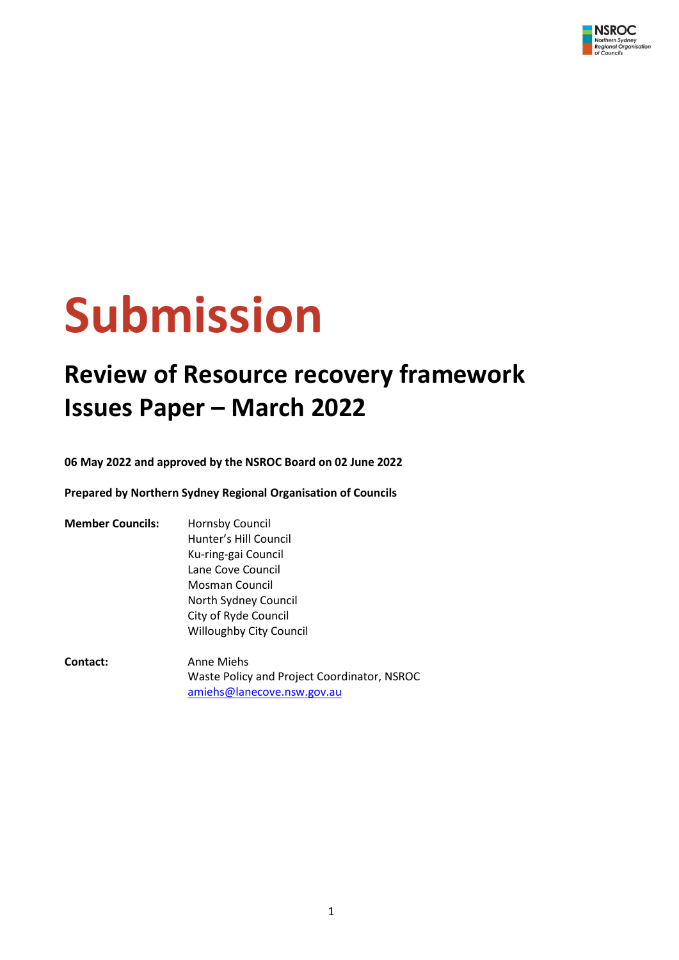

# **Submission**

# **Review of Resource recovery framework Issues Paper – March 2022**

**06 May 2022 and approved by the NSROC Board on 02 June 2022**

**Prepared by Northern Sydney Regional Organisation of Councils**

| <b>Member Councils:</b> | Hornsby Council                             |
|-------------------------|---------------------------------------------|
|                         | Hunter's Hill Council                       |
|                         | Ku-ring-gai Council                         |
|                         | Lane Cove Council                           |
|                         | Mosman Council                              |
|                         | North Sydney Council                        |
|                         | City of Ryde Council                        |
|                         | <b>Willoughby City Council</b>              |
| Contact:                | Anne Miehs                                  |
|                         | Waste Policy and Project Coordinator, NSROC |
|                         | amiehs@lanecove.nsw.gov.au                  |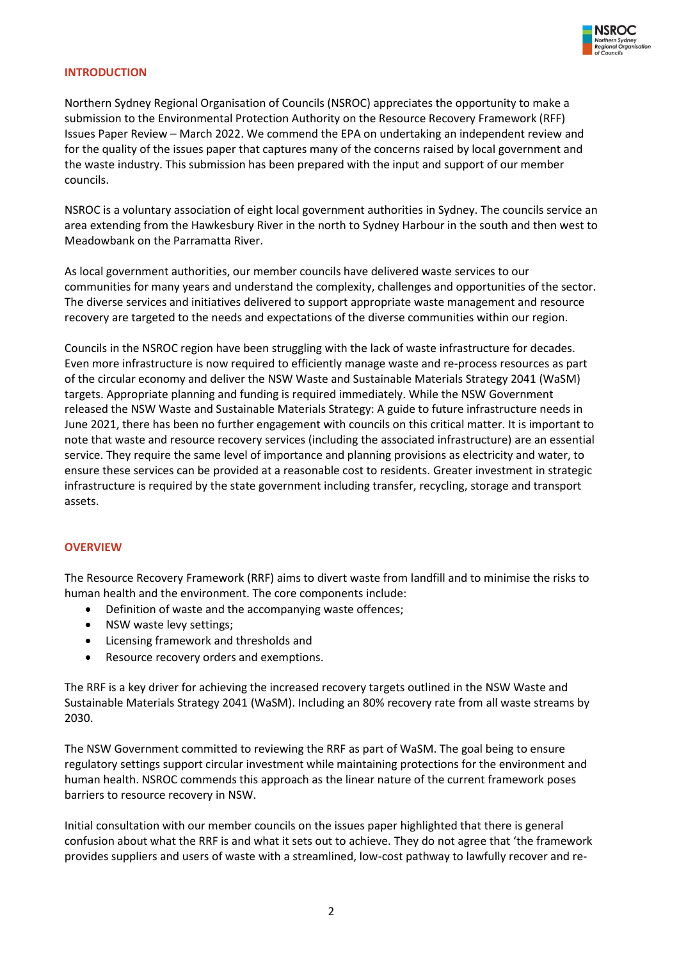

#### **INTRODUCTION**

Northern Sydney Regional Organisation of Councils (NSROC) appreciates the opportunity to make a submission to the Environmental Protection Authority on the Resource Recovery Framework (RFF) Issues Paper Review – March 2022. We commend the EPA on undertaking an independent review and for the quality of the issues paper that captures many of the concerns raised by local government and the waste industry. This submission has been prepared with the input and support of our member councils.

NSROC is a voluntary association of eight local government authorities in Sydney. The councils service an area extending from the Hawkesbury River in the north to Sydney Harbour in the south and then west to Meadowbank on the Parramatta River.

As local government authorities, our member councils have delivered waste services to our communities for many years and understand the complexity, challenges and opportunities of the sector. The diverse services and initiatives delivered to support appropriate waste management and resource recovery are targeted to the needs and expectations of the diverse communities within our region.

Councils in the NSROC region have been struggling with the lack of waste infrastructure for decades. Even more infrastructure is now required to efficiently manage waste and re-process resources as part of the circular economy and deliver the NSW Waste and Sustainable Materials Strategy 2041 (WaSM) targets. Appropriate planning and funding is required immediately. While the NSW Government released the NSW Waste and Sustainable Materials Strategy: A guide to future infrastructure needs in June 2021, there has been no further engagement with councils on this critical matter. It is important to note that waste and resource recovery services (including the associated infrastructure) are an essential service. They require the same level of importance and planning provisions as electricity and water, to ensure these services can be provided at a reasonable cost to residents. Greater investment in strategic infrastructure is required by the state government including transfer, recycling, storage and transport assets.

#### **OVERVIEW**

The Resource Recovery Framework (RRF) aims to divert waste from landfill and to minimise the risks to human health and the environment. The core components include:

- Definition of waste and the accompanying waste offences;
- NSW waste levy settings;
- Licensing framework and thresholds and
- Resource recovery orders and exemptions.

The RRF is a key driver for achieving the increased recovery targets outlined in the NSW Waste and Sustainable Materials Strategy 2041 (WaSM). Including an 80% recovery rate from all waste streams by 2030.

The NSW Government committed to reviewing the RRF as part of WaSM. The goal being to ensure regulatory settings support circular investment while maintaining protections for the environment and human health. NSROC commends this approach as the linear nature of the current framework poses barriers to resource recovery in NSW.

Initial consultation with our member councils on the issues paper highlighted that there is general confusion about what the RRF is and what it sets out to achieve. They do not agree that 'the framework provides suppliers and users of waste with a streamlined, low-cost pathway to lawfully recover and re-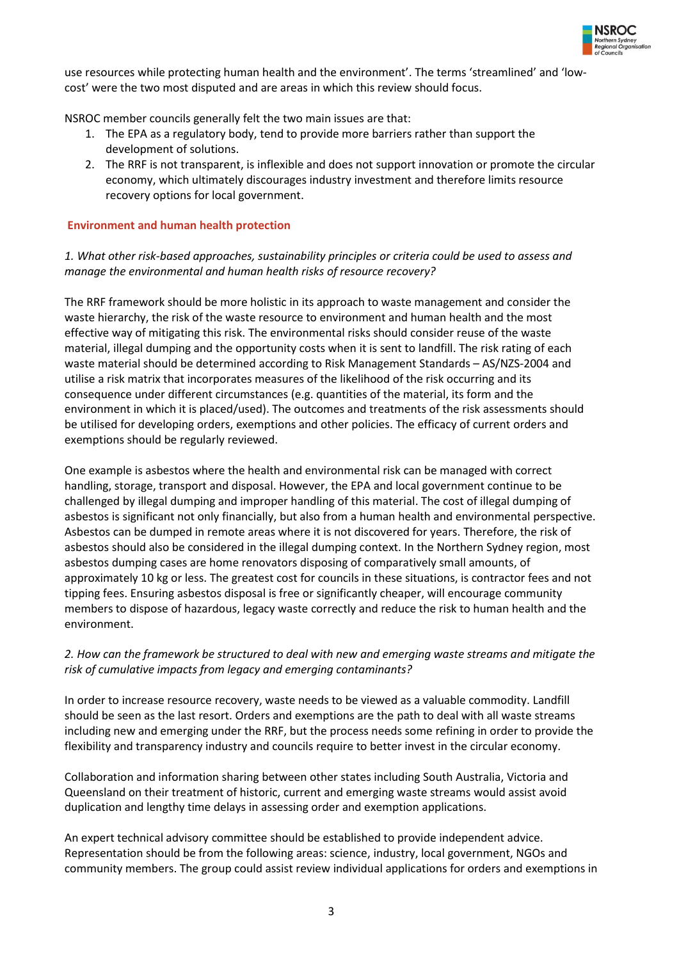

use resources while protecting human health and the environment'. The terms 'streamlined' and 'lowcost' were the two most disputed and are areas in which this review should focus.

NSROC member councils generally felt the two main issues are that:

- 1. The EPA as a regulatory body, tend to provide more barriers rather than support the development of solutions.
- 2. The RRF is not transparent, is inflexible and does not support innovation or promote the circular economy, which ultimately discourages industry investment and therefore limits resource recovery options for local government.

#### **Environment and human health protection**

## *1. What other risk-based approaches, sustainability principles or criteria could be used to assess and manage the environmental and human health risks of resource recovery?*

The RRF framework should be more holistic in its approach to waste management and consider the waste hierarchy, the risk of the waste resource to environment and human health and the most effective way of mitigating this risk. The environmental risks should consider reuse of the waste material, illegal dumping and the opportunity costs when it is sent to landfill. The risk rating of each waste material should be determined according to Risk Management Standards – AS/NZS-2004 and utilise a risk matrix that incorporates measures of the likelihood of the risk occurring and its consequence under different circumstances (e.g. quantities of the material, its form and the environment in which it is placed/used). The outcomes and treatments of the risk assessments should be utilised for developing orders, exemptions and other policies. The efficacy of current orders and exemptions should be regularly reviewed.

One example is asbestos where the health and environmental risk can be managed with correct handling, storage, transport and disposal. However, the EPA and local government continue to be challenged by illegal dumping and improper handling of this material. The cost of illegal dumping of asbestos is significant not only financially, but also from a human health and environmental perspective. Asbestos can be dumped in remote areas where it is not discovered for years. Therefore, the risk of asbestos should also be considered in the illegal dumping context. In the Northern Sydney region, most asbestos dumping cases are home renovators disposing of comparatively small amounts, of approximately 10 kg or less. The greatest cost for councils in these situations, is contractor fees and not tipping fees. Ensuring asbestos disposal is free or significantly cheaper, will encourage community members to dispose of hazardous, legacy waste correctly and reduce the risk to human health and the environment.

# *2. How can the framework be structured to deal with new and emerging waste streams and mitigate the risk of cumulative impacts from legacy and emerging contaminants?*

In order to increase resource recovery, waste needs to be viewed as a valuable commodity. Landfill should be seen as the last resort. Orders and exemptions are the path to deal with all waste streams including new and emerging under the RRF, but the process needs some refining in order to provide the flexibility and transparency industry and councils require to better invest in the circular economy.

Collaboration and information sharing between other states including South Australia, Victoria and Queensland on their treatment of historic, current and emerging waste streams would assist avoid duplication and lengthy time delays in assessing order and exemption applications.

An expert technical advisory committee should be established to provide independent advice. Representation should be from the following areas: science, industry, local government, NGOs and community members. The group could assist review individual applications for orders and exemptions in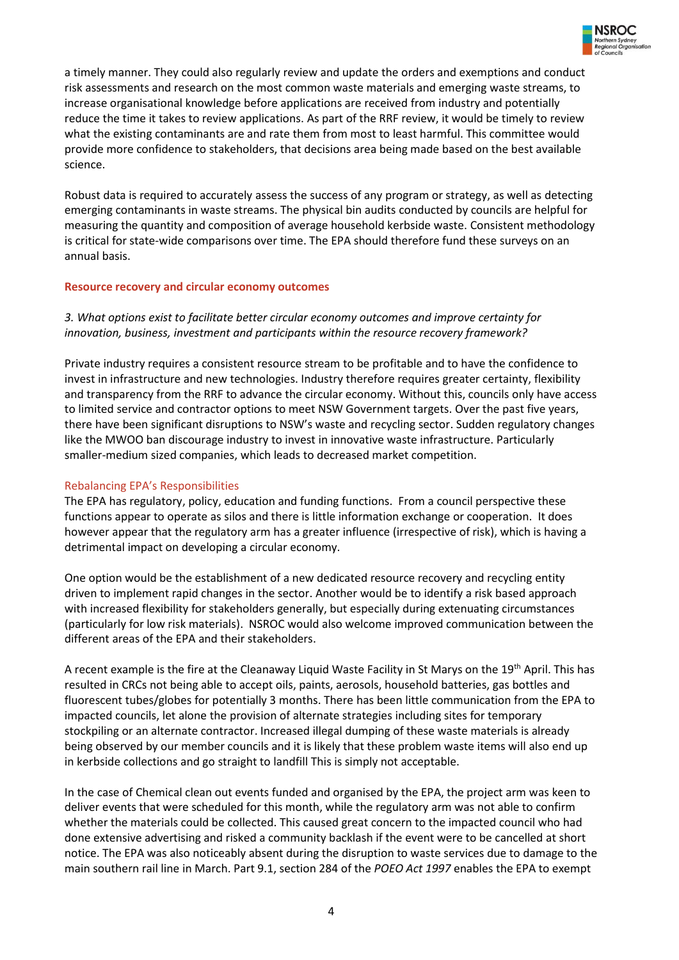

a timely manner. They could also regularly review and update the orders and exemptions and conduct risk assessments and research on the most common waste materials and emerging waste streams, to increase organisational knowledge before applications are received from industry and potentially reduce the time it takes to review applications. As part of the RRF review, it would be timely to review what the existing contaminants are and rate them from most to least harmful. This committee would provide more confidence to stakeholders, that decisions area being made based on the best available science.

Robust data is required to accurately assess the success of any program or strategy, as well as detecting emerging contaminants in waste streams. The physical bin audits conducted by councils are helpful for measuring the quantity and composition of average household kerbside waste. Consistent methodology is critical for state-wide comparisons over time. The EPA should therefore fund these surveys on an annual basis.

#### **Resource recovery and circular economy outcomes**

# *3. What options exist to facilitate better circular economy outcomes and improve certainty for innovation, business, investment and participants within the resource recovery framework?*

Private industry requires a consistent resource stream to be profitable and to have the confidence to invest in infrastructure and new technologies. Industry therefore requires greater certainty, flexibility and transparency from the RRF to advance the circular economy. Without this, councils only have access to limited service and contractor options to meet NSW Government targets. Over the past five years, there have been significant disruptions to NSW's waste and recycling sector. Sudden regulatory changes like the MWOO ban discourage industry to invest in innovative waste infrastructure. Particularly smaller-medium sized companies, which leads to decreased market competition.

## Rebalancing EPA's Responsibilities

The EPA has regulatory, policy, education and funding functions. From a council perspective these functions appear to operate as silos and there is little information exchange or cooperation. It does however appear that the regulatory arm has a greater influence (irrespective of risk), which is having a detrimental impact on developing a circular economy.

One option would be the establishment of a new dedicated resource recovery and recycling entity driven to implement rapid changes in the sector. Another would be to identify a risk based approach with increased flexibility for stakeholders generally, but especially during extenuating circumstances (particularly for low risk materials). NSROC would also welcome improved communication between the different areas of the EPA and their stakeholders.

A recent example is the fire at the Cleanaway Liquid Waste Facility in St Marys on the 19th April. This has resulted in CRCs not being able to accept oils, paints, aerosols, household batteries, gas bottles and fluorescent tubes/globes for potentially 3 months. There has been little communication from the EPA to impacted councils, let alone the provision of alternate strategies including sites for temporary stockpiling or an alternate contractor. Increased illegal dumping of these waste materials is already being observed by our member councils and it is likely that these problem waste items will also end up in kerbside collections and go straight to landfill This is simply not acceptable.

In the case of Chemical clean out events funded and organised by the EPA, the project arm was keen to deliver events that were scheduled for this month, while the regulatory arm was not able to confirm whether the materials could be collected. This caused great concern to the impacted council who had done extensive advertising and risked a community backlash if the event were to be cancelled at short notice. The EPA was also noticeably absent during the disruption to waste services due to damage to the main southern rail line in March. Part 9.1, section 284 of the *POEO Act 1997* enables the EPA to exempt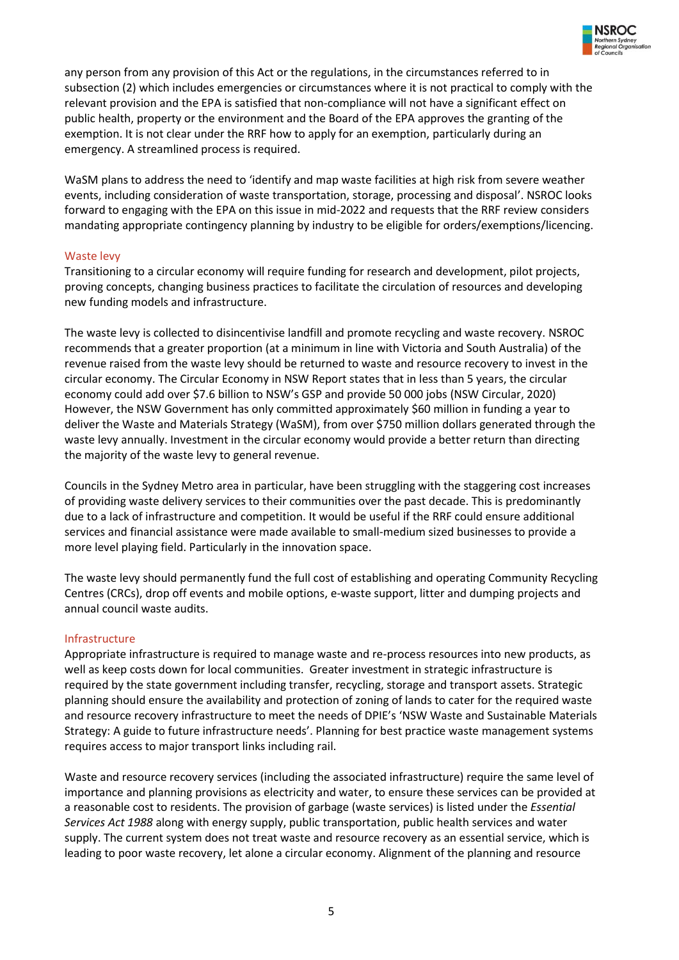

any person from any provision of this Act or the regulations, in the circumstances referred to in subsection (2) which includes emergencies or circumstances where it is not practical to comply with the relevant provision and the EPA is satisfied that non-compliance will not have a significant effect on public health, property or the environment and the Board of the EPA approves the granting of the exemption. It is not clear under the RRF how to apply for an exemption, particularly during an emergency. A streamlined process is required.

WaSM plans to address the need to 'identify and map waste facilities at high risk from severe weather events, including consideration of waste transportation, storage, processing and disposal'. NSROC looks forward to engaging with the EPA on this issue in mid-2022 and requests that the RRF review considers mandating appropriate contingency planning by industry to be eligible for orders/exemptions/licencing.

#### Waste levy

Transitioning to a circular economy will require funding for research and development, pilot projects, proving concepts, changing business practices to facilitate the circulation of resources and developing new funding models and infrastructure.

The waste levy is collected to disincentivise landfill and promote recycling and waste recovery. NSROC recommends that a greater proportion (at a minimum in line with Victoria and South Australia) of the revenue raised from the waste levy should be returned to waste and resource recovery to invest in the circular economy. The Circular Economy in NSW Report states that in less than 5 years, the circular economy could add over \$7.6 billion to NSW's GSP and provide 50 000 jobs (NSW Circular, 2020) However, the NSW Government has only committed approximately \$60 million in funding a year to deliver the Waste and Materials Strategy (WaSM), from over \$750 million dollars generated through the waste levy annually. Investment in the circular economy would provide a better return than directing the majority of the waste levy to general revenue.

Councils in the Sydney Metro area in particular, have been struggling with the staggering cost increases of providing waste delivery services to their communities over the past decade. This is predominantly due to a lack of infrastructure and competition. It would be useful if the RRF could ensure additional services and financial assistance were made available to small-medium sized businesses to provide a more level playing field. Particularly in the innovation space.

The waste levy should permanently fund the full cost of establishing and operating Community Recycling Centres (CRCs), drop off events and mobile options, e-waste support, litter and dumping projects and annual council waste audits.

#### Infrastructure

Appropriate infrastructure is required to manage waste and re-process resources into new products, as well as keep costs down for local communities. Greater investment in strategic infrastructure is required by the state government including transfer, recycling, storage and transport assets. Strategic planning should ensure the availability and protection of zoning of lands to cater for the required waste and resource recovery infrastructure to meet the needs of DPIE's 'NSW Waste and Sustainable Materials Strategy: A guide to future infrastructure needs'. Planning for best practice waste management systems requires access to major transport links including rail.

Waste and resource recovery services (including the associated infrastructure) require the same level of importance and planning provisions as electricity and water, to ensure these services can be provided at a reasonable cost to residents. The provision of garbage (waste services) is listed under the *Essential Services Act 1988* along with energy supply, public transportation, public health services and water supply. The current system does not treat waste and resource recovery as an essential service, which is leading to poor waste recovery, let alone a circular economy. Alignment of the planning and resource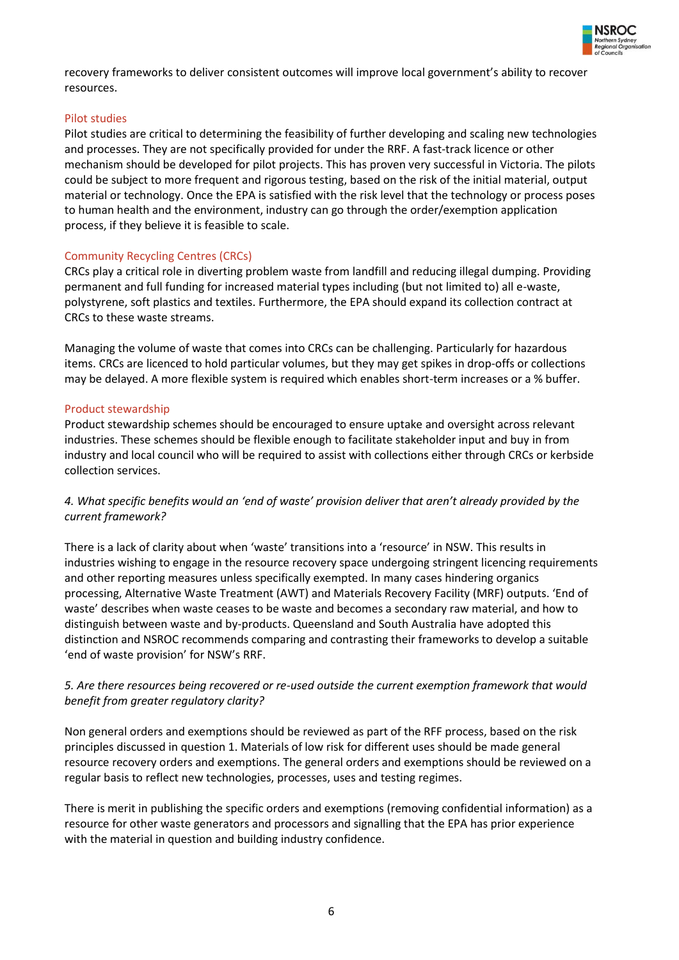

recovery frameworks to deliver consistent outcomes will improve local government's ability to recover resources.

#### Pilot studies

Pilot studies are critical to determining the feasibility of further developing and scaling new technologies and processes. They are not specifically provided for under the RRF. A fast-track licence or other mechanism should be developed for pilot projects. This has proven very successful in Victoria. The pilots could be subject to more frequent and rigorous testing, based on the risk of the initial material, output material or technology. Once the EPA is satisfied with the risk level that the technology or process poses to human health and the environment, industry can go through the order/exemption application process, if they believe it is feasible to scale.

#### Community Recycling Centres (CRCs)

CRCs play a critical role in diverting problem waste from landfill and reducing illegal dumping. Providing permanent and full funding for increased material types including (but not limited to) all e-waste, polystyrene, soft plastics and textiles. Furthermore, the EPA should expand its collection contract at CRCs to these waste streams.

Managing the volume of waste that comes into CRCs can be challenging. Particularly for hazardous items. CRCs are licenced to hold particular volumes, but they may get spikes in drop-offs or collections may be delayed. A more flexible system is required which enables short-term increases or a % buffer.

#### Product stewardship

Product stewardship schemes should be encouraged to ensure uptake and oversight across relevant industries. These schemes should be flexible enough to facilitate stakeholder input and buy in from industry and local council who will be required to assist with collections either through CRCs or kerbside collection services.

# *4. What specific benefits would an 'end of waste' provision deliver that aren't already provided by the current framework?*

There is a lack of clarity about when 'waste' transitions into a 'resource' in NSW. This results in industries wishing to engage in the resource recovery space undergoing stringent licencing requirements and other reporting measures unless specifically exempted. In many cases hindering organics processing, Alternative Waste Treatment (AWT) and Materials Recovery Facility (MRF) outputs. 'End of waste' describes when waste ceases to be waste and becomes a secondary raw material, and how to distinguish between waste and by-products. Queensland and South Australia have adopted this distinction and NSROC recommends comparing and contrasting their frameworks to develop a suitable 'end of waste provision' for NSW's RRF.

# *5. Are there resources being recovered or re-used outside the current exemption framework that would benefit from greater regulatory clarity?*

Non general orders and exemptions should be reviewed as part of the RFF process, based on the risk principles discussed in question 1. Materials of low risk for different uses should be made general resource recovery orders and exemptions. The general orders and exemptions should be reviewed on a regular basis to reflect new technologies, processes, uses and testing regimes.

There is merit in publishing the specific orders and exemptions (removing confidential information) as a resource for other waste generators and processors and signalling that the EPA has prior experience with the material in question and building industry confidence.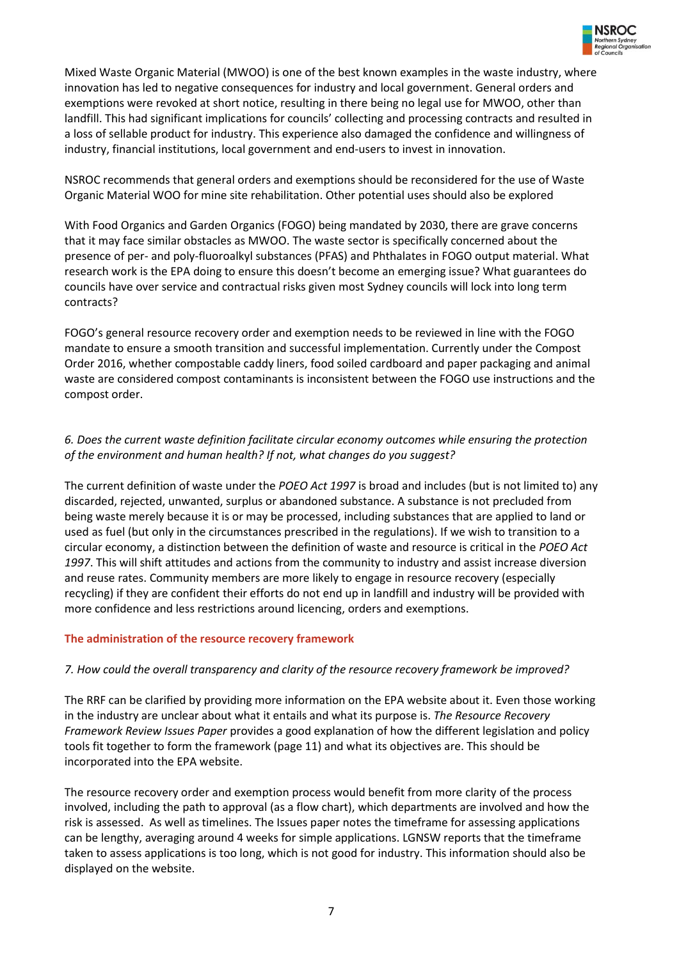

Mixed Waste Organic Material (MWOO) is one of the best known examples in the waste industry, where innovation has led to negative consequences for industry and local government. General orders and exemptions were revoked at short notice, resulting in there being no legal use for MWOO, other than landfill. This had significant implications for councils' collecting and processing contracts and resulted in a loss of sellable product for industry. This experience also damaged the confidence and willingness of industry, financial institutions, local government and end-users to invest in innovation.

NSROC recommends that general orders and exemptions should be reconsidered for the use of Waste Organic Material WOO for mine site rehabilitation. Other potential uses should also be explored

With Food Organics and Garden Organics (FOGO) being mandated by 2030, there are grave concerns that it may face similar obstacles as MWOO. The waste sector is specifically concerned about the presence of per- and poly-fluoroalkyl substances (PFAS) and Phthalates in FOGO output material. What research work is the EPA doing to ensure this doesn't become an emerging issue? What guarantees do councils have over service and contractual risks given most Sydney councils will lock into long term contracts?

FOGO's general resource recovery order and exemption needs to be reviewed in line with the FOGO mandate to ensure a smooth transition and successful implementation. Currently under the Compost Order 2016, whether compostable caddy liners, food soiled cardboard and paper packaging and animal waste are considered compost contaminants is inconsistent between the FOGO use instructions and the compost order.

# *6. Does the current waste definition facilitate circular economy outcomes while ensuring the protection of the environment and human health? If not, what changes do you suggest?*

The current definition of waste under the *POEO Act 1997* is broad and includes (but is not limited to) any discarded, rejected, unwanted, surplus or abandoned substance. A substance is not precluded from being waste merely because it is or may be processed, including substances that are applied to land or used as fuel (but only in the circumstances prescribed in the regulations). If we wish to transition to a circular economy, a distinction between the definition of waste and resource is critical in the *POEO Act 1997*. This will shift attitudes and actions from the community to industry and assist increase diversion and reuse rates. Community members are more likely to engage in resource recovery (especially recycling) if they are confident their efforts do not end up in landfill and industry will be provided with more confidence and less restrictions around licencing, orders and exemptions.

# **The administration of the resource recovery framework**

#### *7. How could the overall transparency and clarity of the resource recovery framework be improved?*

The RRF can be clarified by providing more information on the EPA website about it. Even those working in the industry are unclear about what it entails and what its purpose is. *The Resource Recovery Framework Review Issues Paper* provides a good explanation of how the different legislation and policy tools fit together to form the framework (page 11) and what its objectives are. This should be incorporated into the EPA website.

The resource recovery order and exemption process would benefit from more clarity of the process involved, including the path to approval (as a flow chart), which departments are involved and how the risk is assessed. As well as timelines. The Issues paper notes the timeframe for assessing applications can be lengthy, averaging around 4 weeks for simple applications. LGNSW reports that the timeframe taken to assess applications is too long, which is not good for industry. This information should also be displayed on the website.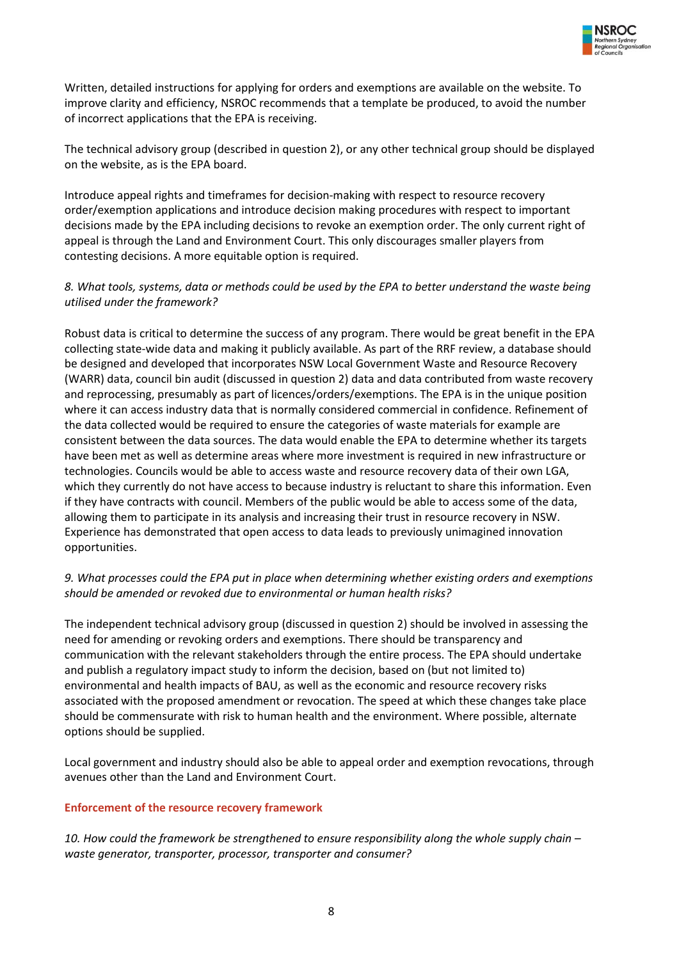

Written, detailed instructions for applying for orders and exemptions are available on the website. To improve clarity and efficiency, NSROC recommends that a template be produced, to avoid the number of incorrect applications that the EPA is receiving.

The technical advisory group (described in question 2), or any other technical group should be displayed on the website, as is the EPA board.

Introduce appeal rights and timeframes for decision-making with respect to resource recovery order/exemption applications and introduce decision making procedures with respect to important decisions made by the EPA including decisions to revoke an exemption order. The only current right of appeal is through the Land and Environment Court. This only discourages smaller players from contesting decisions. A more equitable option is required.

# *8. What tools, systems, data or methods could be used by the EPA to better understand the waste being utilised under the framework?*

Robust data is critical to determine the success of any program. There would be great benefit in the EPA collecting state-wide data and making it publicly available. As part of the RRF review, a database should be designed and developed that incorporates NSW Local Government Waste and Resource Recovery (WARR) data, council bin audit (discussed in question 2) data and data contributed from waste recovery and reprocessing, presumably as part of licences/orders/exemptions. The EPA is in the unique position where it can access industry data that is normally considered commercial in confidence. Refinement of the data collected would be required to ensure the categories of waste materials for example are consistent between the data sources. The data would enable the EPA to determine whether its targets have been met as well as determine areas where more investment is required in new infrastructure or technologies. Councils would be able to access waste and resource recovery data of their own LGA, which they currently do not have access to because industry is reluctant to share this information. Even if they have contracts with council. Members of the public would be able to access some of the data, allowing them to participate in its analysis and increasing their trust in resource recovery in NSW. Experience has demonstrated that open access to data leads to previously unimagined innovation opportunities.

# *9. What processes could the EPA put in place when determining whether existing orders and exemptions should be amended or revoked due to environmental or human health risks?*

The independent technical advisory group (discussed in question 2) should be involved in assessing the need for amending or revoking orders and exemptions. There should be transparency and communication with the relevant stakeholders through the entire process. The EPA should undertake and publish a regulatory impact study to inform the decision, based on (but not limited to) environmental and health impacts of BAU, as well as the economic and resource recovery risks associated with the proposed amendment or revocation. The speed at which these changes take place should be commensurate with risk to human health and the environment. Where possible, alternate options should be supplied.

Local government and industry should also be able to appeal order and exemption revocations, through avenues other than the Land and Environment Court.

# **Enforcement of the resource recovery framework**

*10. How could the framework be strengthened to ensure responsibility along the whole supply chain – waste generator, transporter, processor, transporter and consumer?*